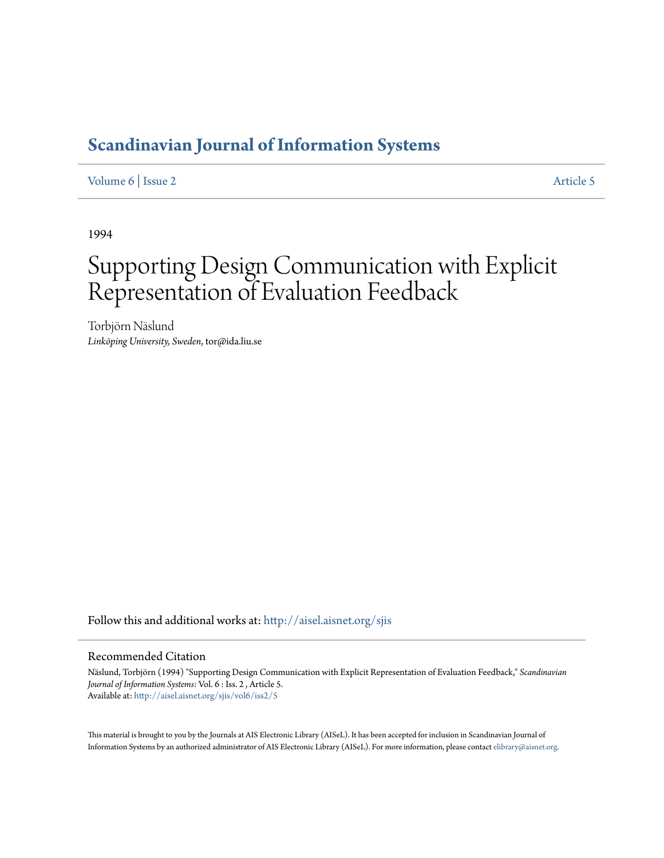# **[Scandinavian Journal of Information Systems](http://aisel.aisnet.org/sjis?utm_source=aisel.aisnet.org%2Fsjis%2Fvol6%2Fiss2%2F5&utm_medium=PDF&utm_campaign=PDFCoverPages)**

[Volume 6](http://aisel.aisnet.org/sjis/vol6?utm_source=aisel.aisnet.org%2Fsjis%2Fvol6%2Fiss2%2F5&utm_medium=PDF&utm_campaign=PDFCoverPages) | [Issue 2](http://aisel.aisnet.org/sjis/vol6/iss2?utm_source=aisel.aisnet.org%2Fsjis%2Fvol6%2Fiss2%2F5&utm_medium=PDF&utm_campaign=PDFCoverPages) [Article 5](http://aisel.aisnet.org/sjis/vol6/iss2/5?utm_source=aisel.aisnet.org%2Fsjis%2Fvol6%2Fiss2%2F5&utm_medium=PDF&utm_campaign=PDFCoverPages)

1994

# Supporting Design Communication with Explicit Representation of Evaluation Feedback

Torbjörn Näslund *Linköping University, Sweden*, tor@ida.liu.se

Follow this and additional works at: [http://aisel.aisnet.org/sjis](http://aisel.aisnet.org/sjis?utm_source=aisel.aisnet.org%2Fsjis%2Fvol6%2Fiss2%2F5&utm_medium=PDF&utm_campaign=PDFCoverPages)

# Recommended Citation

Näslund, Torbjörn (1994) "Supporting Design Communication with Explicit Representation of Evaluation Feedback," *Scandinavian Journal of Information Systems*: Vol. 6 : Iss. 2 , Article 5. Available at: [http://aisel.aisnet.org/sjis/vol6/iss2/5](http://aisel.aisnet.org/sjis/vol6/iss2/5?utm_source=aisel.aisnet.org%2Fsjis%2Fvol6%2Fiss2%2F5&utm_medium=PDF&utm_campaign=PDFCoverPages)

This material is brought to you by the Journals at AIS Electronic Library (AISeL). It has been accepted for inclusion in Scandinavian Journal of Information Systems by an authorized administrator of AIS Electronic Library (AISeL). For more information, please contact [elibrary@aisnet.org.](mailto:elibrary@aisnet.org%3E)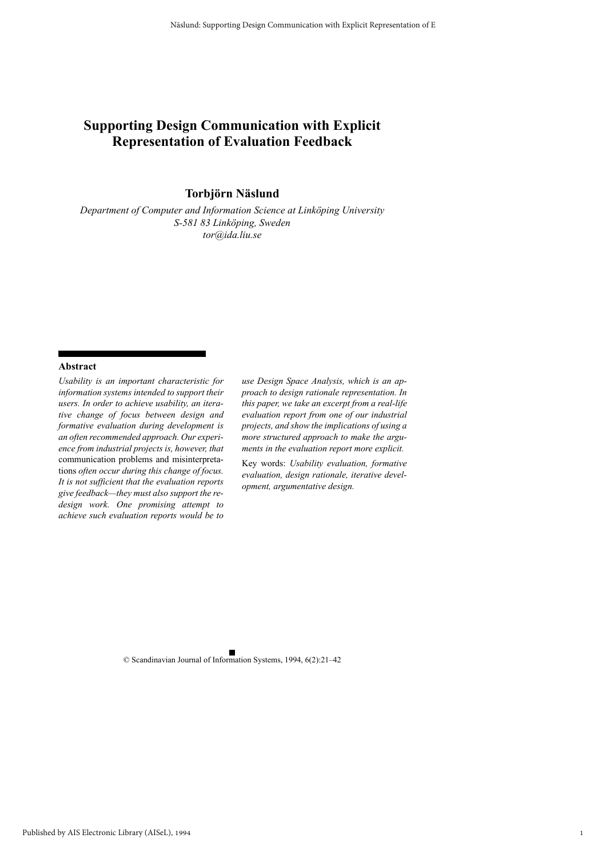# **Supporting Design Communication with Explicit Representation of Evaluation Feedback**

**Torbjörn Näslund**

*Department of Computer and Information Science at Linköping University S-581 83 Linköping, Sweden tor@ida.liu.se*

#### **Abstract**

*Usability is an important characteristic for information systems intended to support their users. In order to achieve usability, an iterative change of focus between design and formative evaluation during development is an often recommended approach. Our experience from industrial projects is, however, that* communication problems and misinterpretations *often occur during this change of focus. It is not sufficient that the evaluation reports give feedback—they must also support the redesign work. One promising attempt to achieve such evaluation reports would be to*

*use Design Space Analysis, which is an approach to design rationale representation. In this paper, we take an excerpt from a real-life evaluation report from one of our industrial projects, and show the implications of using a more structured approach to make the arguments in the evaluation report more explicit.*

Key words: *Usability evaluation, formative evaluation, design rationale, iterative development, argumentative design.*

© Scandinavian Journal of Information Systems, 1994, 6(2):21–42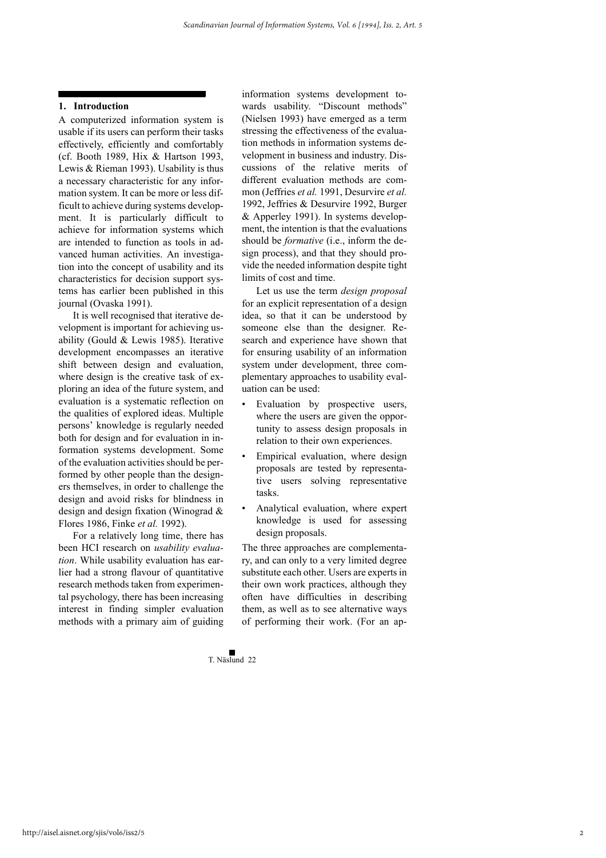## **1. Introduction**

A computerized information system is usable if its users can perform their tasks effectively, efficiently and comfortably (cf. Booth 1989, Hix & Hartson 1993, Lewis & Rieman 1993). Usability is thus a necessary characteristic for any information system. It can be more or less difficult to achieve during systems development. It is particularly difficult to achieve for information systems which are intended to function as tools in advanced human activities. An investigation into the concept of usability and its characteristics for decision support systems has earlier been published in this journal (Ovaska 1991).

It is well recognised that iterative development is important for achieving usability (Gould & Lewis 1985). Iterative development encompasses an iterative shift between design and evaluation, where design is the creative task of exploring an idea of the future system, and evaluation is a systematic reflection on the qualities of explored ideas. Multiple persons' knowledge is regularly needed both for design and for evaluation in information systems development. Some of the evaluation activities should be performed by other people than the designers themselves, in order to challenge the design and avoid risks for blindness in design and design fixation (Winograd & Flores 1986, Finke *et al.* 1992).

For a relatively long time, there has been HCI research on *usability evaluation*. While usability evaluation has earlier had a strong flavour of quantitative research methods taken from experimental psychology, there has been increasing interest in finding simpler evaluation methods with a primary aim of guiding information systems development towards usability. "Discount methods" (Nielsen 1993) have emerged as a term stressing the effectiveness of the evaluation methods in information systems development in business and industry. Discussions of the relative merits of different evaluation methods are common (Jeffries *et al.* 1991, Desurvire *et al.* 1992, Jeffries & Desurvire 1992, Burger & Apperley 1991). In systems development, the intention is that the evaluations should be *formative* (i.e., inform the design process), and that they should provide the needed information despite tight limits of cost and time.

Let us use the term *design proposal* for an explicit representation of a design idea, so that it can be understood by someone else than the designer. Research and experience have shown that for ensuring usability of an information system under development, three complementary approaches to usability evaluation can be used:

- Evaluation by prospective users, where the users are given the opportunity to assess design proposals in relation to their own experiences.
- Empirical evaluation, where design proposals are tested by representative users solving representative tasks.
- Analytical evaluation, where expert knowledge is used for assessing design proposals.

The three approaches are complementary, and can only to a very limited degree substitute each other. Users are experts in their own work practices, although they often have difficulties in describing them, as well as to see alternative ways of performing their work. (For an ap-

 $\Box$ T. Näslund 22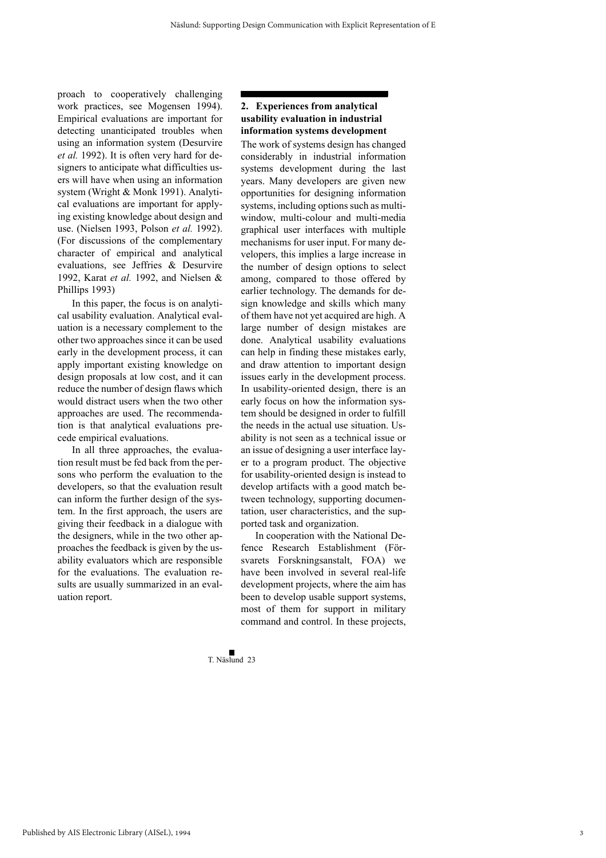proach to cooperatively challenging work practices, see Mogensen 1994). Empirical evaluations are important for detecting unanticipated troubles when using an information system (Desurvire *et al.* 1992). It is often very hard for designers to anticipate what difficulties users will have when using an information system (Wright & Monk 1991). Analytical evaluations are important for applying existing knowledge about design and use. (Nielsen 1993, Polson *et al.* 1992). (For discussions of the complementary character of empirical and analytical evaluations, see Jeffries & Desurvire 1992, Karat *et al.* 1992, and Nielsen & Phillips 1993)

In this paper, the focus is on analytical usability evaluation. Analytical evaluation is a necessary complement to the other two approaches since it can be used early in the development process, it can apply important existing knowledge on design proposals at low cost, and it can reduce the number of design flaws which would distract users when the two other approaches are used. The recommendation is that analytical evaluations precede empirical evaluations.

In all three approaches, the evaluation result must be fed back from the persons who perform the evaluation to the developers, so that the evaluation result can inform the further design of the system. In the first approach, the users are giving their feedback in a dialogue with the designers, while in the two other approaches the feedback is given by the usability evaluators which are responsible for the evaluations. The evaluation results are usually summarized in an evaluation report.

# **2. Experiences from analytical usability evaluation in industrial information systems development**

The work of systems design has changed considerably in industrial information systems development during the last years. Many developers are given new opportunities for designing information systems, including options such as multiwindow, multi-colour and multi-media graphical user interfaces with multiple mechanisms for user input. For many developers, this implies a large increase in the number of design options to select among, compared to those offered by earlier technology. The demands for design knowledge and skills which many of them have not yet acquired are high. A large number of design mistakes are done. Analytical usability evaluations can help in finding these mistakes early, and draw attention to important design issues early in the development process. In usability-oriented design, there is an early focus on how the information system should be designed in order to fulfill the needs in the actual use situation. Usability is not seen as a technical issue or an issue of designing a user interface layer to a program product. The objective for usability-oriented design is instead to develop artifacts with a good match between technology, supporting documentation, user characteristics, and the supported task and organization.

In cooperation with the National Defence Research Establishment (Försvarets Forskningsanstalt, FOA) we have been involved in several real-life development projects, where the aim has been to develop usable support systems, most of them for support in military command and control. In these projects,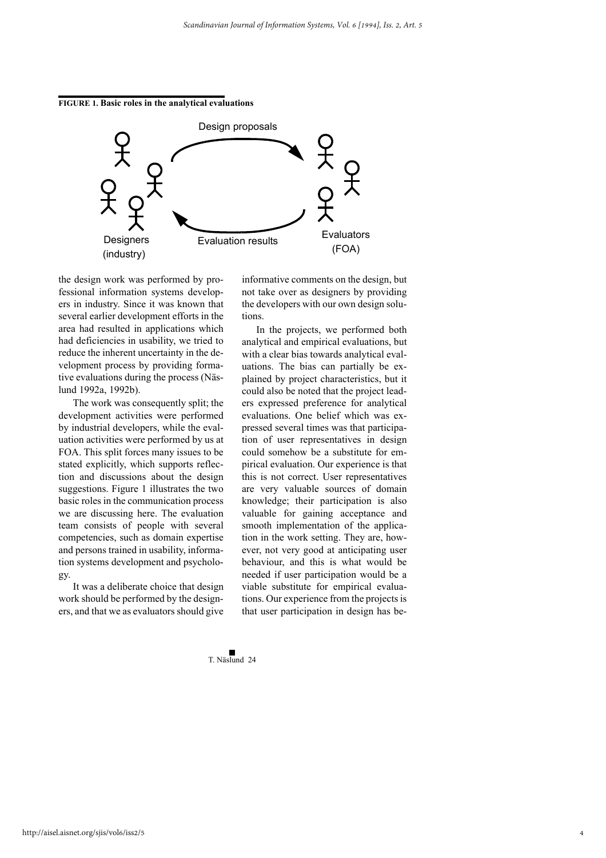#### **FIGURE 1. Basic roles in the analytical evaluations**



the design work was performed by professional information systems developers in industry. Since it was known that several earlier development efforts in the area had resulted in applications which had deficiencies in usability, we tried to reduce the inherent uncertainty in the development process by providing formative evaluations during the process (Näslund 1992a, 1992b).

The work was consequently split; the development activities were performed by industrial developers, while the evaluation activities were performed by us at FOA. This split forces many issues to be stated explicitly, which supports reflection and discussions about the design suggestions. Figure 1 illustrates the two basic roles in the communication process we are discussing here. The evaluation team consists of people with several competencies, such as domain expertise and persons trained in usability, information systems development and psychology.

It was a deliberate choice that design work should be performed by the designers, and that we as evaluators should give

informative comments on the design, but not take over as designers by providing the developers with our own design solutions.

In the projects, we performed both analytical and empirical evaluations, but with a clear bias towards analytical evaluations. The bias can partially be explained by project characteristics, but it could also be noted that the project leaders expressed preference for analytical evaluations. One belief which was expressed several times was that participation of user representatives in design could somehow be a substitute for empirical evaluation. Our experience is that this is not correct. User representatives are very valuable sources of domain knowledge; their participation is also valuable for gaining acceptance and smooth implementation of the application in the work setting. They are, however, not very good at anticipating user behaviour, and this is what would be needed if user participation would be a viable substitute for empirical evaluations. Our experience from the projects is that user participation in design has be-

4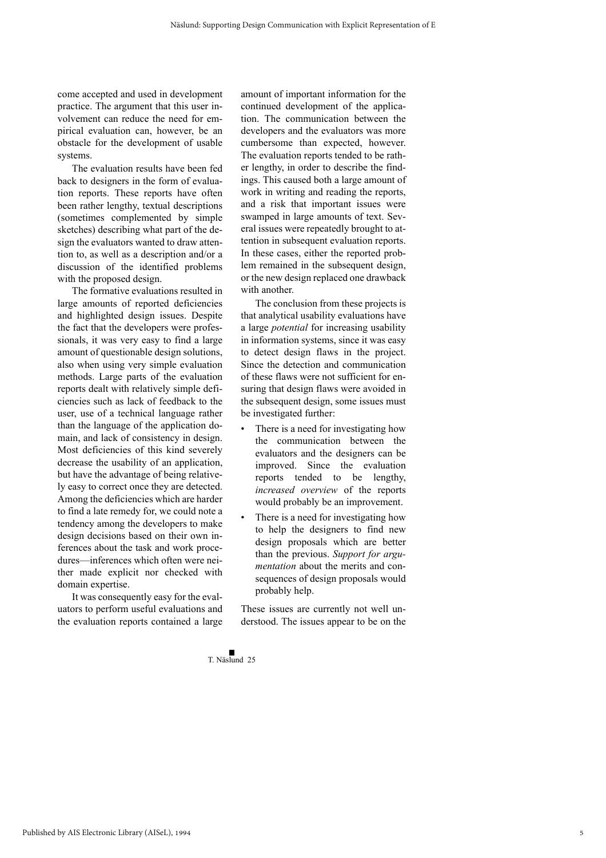come accepted and used in development practice. The argument that this user involvement can reduce the need for empirical evaluation can, however, be an obstacle for the development of usable systems.

The evaluation results have been fed back to designers in the form of evaluation reports. These reports have often been rather lengthy, textual descriptions (sometimes complemented by simple sketches) describing what part of the design the evaluators wanted to draw attention to, as well as a description and/or a discussion of the identified problems with the proposed design.

The formative evaluations resulted in large amounts of reported deficiencies and highlighted design issues. Despite the fact that the developers were professionals, it was very easy to find a large amount of questionable design solutions, also when using very simple evaluation methods. Large parts of the evaluation reports dealt with relatively simple deficiencies such as lack of feedback to the user, use of a technical language rather than the language of the application domain, and lack of consistency in design. Most deficiencies of this kind severely decrease the usability of an application, but have the advantage of being relatively easy to correct once they are detected. Among the deficiencies which are harder to find a late remedy for, we could note a tendency among the developers to make design decisions based on their own inferences about the task and work procedures—inferences which often were neither made explicit nor checked with domain expertise.

It was consequently easy for the evaluators to perform useful evaluations and the evaluation reports contained a large amount of important information for the continued development of the application. The communication between the developers and the evaluators was more cumbersome than expected, however. The evaluation reports tended to be rather lengthy, in order to describe the findings. This caused both a large amount of work in writing and reading the reports, and a risk that important issues were swamped in large amounts of text. Several issues were repeatedly brought to attention in subsequent evaluation reports. In these cases, either the reported problem remained in the subsequent design, or the new design replaced one drawback with another.

The conclusion from these projects is that analytical usability evaluations have a large *potential* for increasing usability in information systems, since it was easy to detect design flaws in the project. Since the detection and communication of these flaws were not sufficient for ensuring that design flaws were avoided in the subsequent design, some issues must be investigated further:

- There is a need for investigating how the communication between the evaluators and the designers can be improved. Since the evaluation reports tended to be lengthy, *increased overview* of the reports would probably be an improvement.
- There is a need for investigating how to help the designers to find new design proposals which are better than the previous. *Support for argumentation* about the merits and consequences of design proposals would probably help.

These issues are currently not well understood. The issues appear to be on the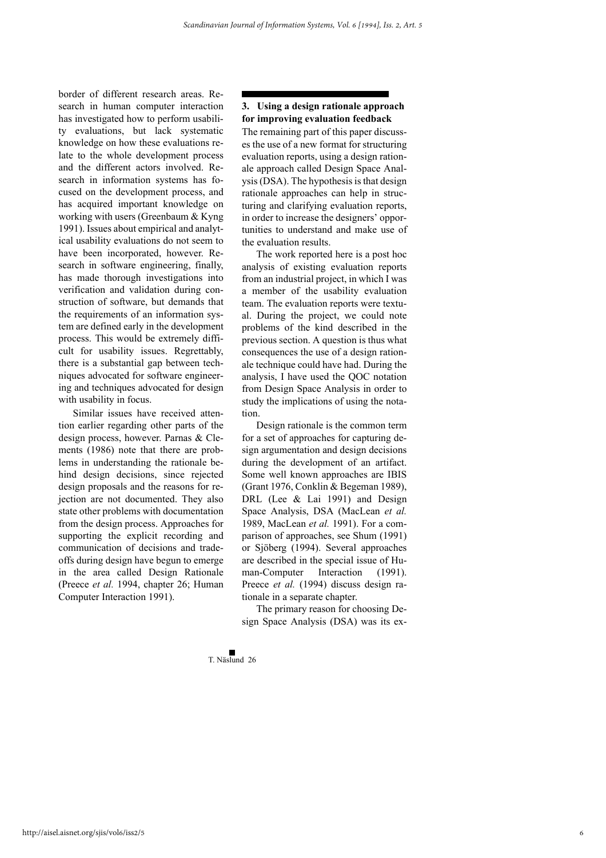border of different research areas. Research in human computer interaction has investigated how to perform usability evaluations, but lack systematic knowledge on how these evaluations relate to the whole development process and the different actors involved. Research in information systems has focused on the development process, and has acquired important knowledge on working with users (Greenbaum & Kyng 1991). Issues about empirical and analytical usability evaluations do not seem to have been incorporated, however. Research in software engineering, finally, has made thorough investigations into verification and validation during construction of software, but demands that the requirements of an information system are defined early in the development process. This would be extremely difficult for usability issues. Regrettably, there is a substantial gap between techniques advocated for software engineering and techniques advocated for design with usability in focus.

Similar issues have received attention earlier regarding other parts of the design process, however. Parnas & Clements (1986) note that there are problems in understanding the rationale behind design decisions, since rejected design proposals and the reasons for rejection are not documented. They also state other problems with documentation from the design process. Approaches for supporting the explicit recording and communication of decisions and tradeoffs during design have begun to emerge in the area called Design Rationale (Preece *et al.* 1994, chapter 26; Human Computer Interaction 1991).

# **3. Using a design rationale approach for improving evaluation feedback**

The remaining part of this paper discusses the use of a new format for structuring evaluation reports, using a design rationale approach called Design Space Analysis (DSA). The hypothesis is that design rationale approaches can help in structuring and clarifying evaluation reports, in order to increase the designers' opportunities to understand and make use of the evaluation results.

The work reported here is a post hoc analysis of existing evaluation reports from an industrial project, in which I was a member of the usability evaluation team. The evaluation reports were textual. During the project, we could note problems of the kind described in the previous section. A question is thus what consequences the use of a design rationale technique could have had. During the analysis, I have used the QOC notation from Design Space Analysis in order to study the implications of using the notation.

Design rationale is the common term for a set of approaches for capturing design argumentation and design decisions during the development of an artifact. Some well known approaches are IBIS (Grant 1976, Conklin & Begeman 1989), DRL (Lee & Lai 1991) and Design Space Analysis, DSA (MacLean *et al.* 1989, MacLean *et al.* 1991). For a comparison of approaches, see Shum (1991) or Sjöberg (1994). Several approaches are described in the special issue of Human-Computer Interaction (1991). Preece et al. (1994) discuss design rationale in a separate chapter.

The primary reason for choosing Design Space Analysis (DSA) was its ex-

6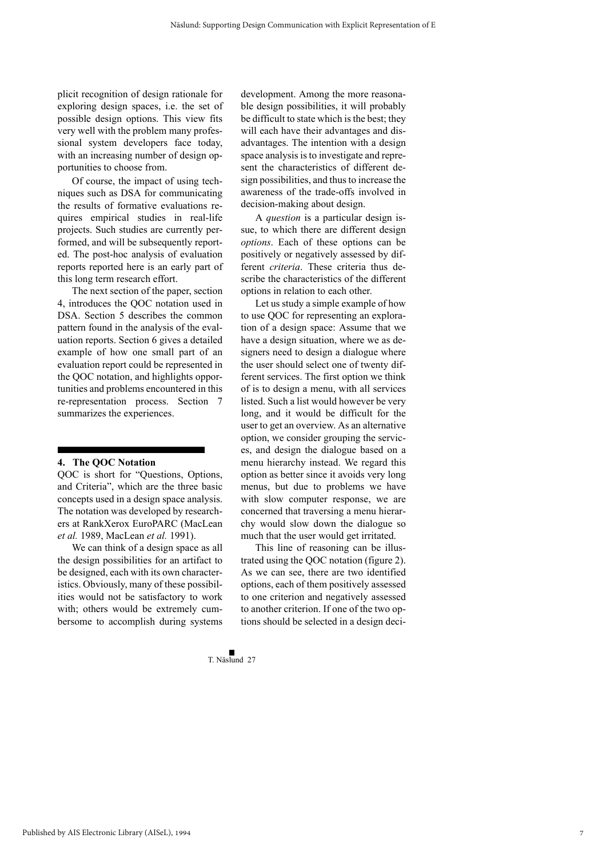plicit recognition of design rationale for exploring design spaces, i.e. the set of possible design options. This view fits very well with the problem many professional system developers face today, with an increasing number of design opportunities to choose from.

Of course, the impact of using techniques such as DSA for communicating the results of formative evaluations requires empirical studies in real-life projects. Such studies are currently performed, and will be subsequently reported. The post-hoc analysis of evaluation reports reported here is an early part of this long term research effort.

The next section of the paper, section 4, introduces the QOC notation used in DSA. Section 5 describes the common pattern found in the analysis of the evaluation reports. Section 6 gives a detailed example of how one small part of an evaluation report could be represented in the QOC notation, and highlights opportunities and problems encountered in this re-representation process. Section 7 summarizes the experiences.

#### **4. The QOC Notation**

QOC is short for "Questions, Options, and Criteria", which are the three basic concepts used in a design space analysis. The notation was developed by researchers at RankXerox EuroPARC (MacLean *et al.* 1989, MacLean *et al.* 1991).

We can think of a design space as all the design possibilities for an artifact to be designed, each with its own characteristics. Obviously, many of these possibilities would not be satisfactory to work with; others would be extremely cumbersome to accomplish during systems development. Among the more reasonable design possibilities, it will probably be difficult to state which is the best; they will each have their advantages and disadvantages. The intention with a design space analysis is to investigate and represent the characteristics of different design possibilities, and thus to increase the awareness of the trade-offs involved in decision-making about design.

A *question* is a particular design issue, to which there are different design *options*. Each of these options can be positively or negatively assessed by different *criteria*. These criteria thus describe the characteristics of the different options in relation to each other.

Let us study a simple example of how to use QOC for representing an exploration of a design space: Assume that we have a design situation, where we as designers need to design a dialogue where the user should select one of twenty different services. The first option we think of is to design a menu, with all services listed. Such a list would however be very long, and it would be difficult for the user to get an overview. As an alternative option, we consider grouping the services, and design the dialogue based on a menu hierarchy instead. We regard this option as better since it avoids very long menus, but due to problems we have with slow computer response, we are concerned that traversing a menu hierarchy would slow down the dialogue so much that the user would get irritated.

This line of reasoning can be illustrated using the QOC notation (figure 2). As we can see, there are two identified options, each of them positively assessed to one criterion and negatively assessed to another criterion. If one of the two options should be selected in a design deci-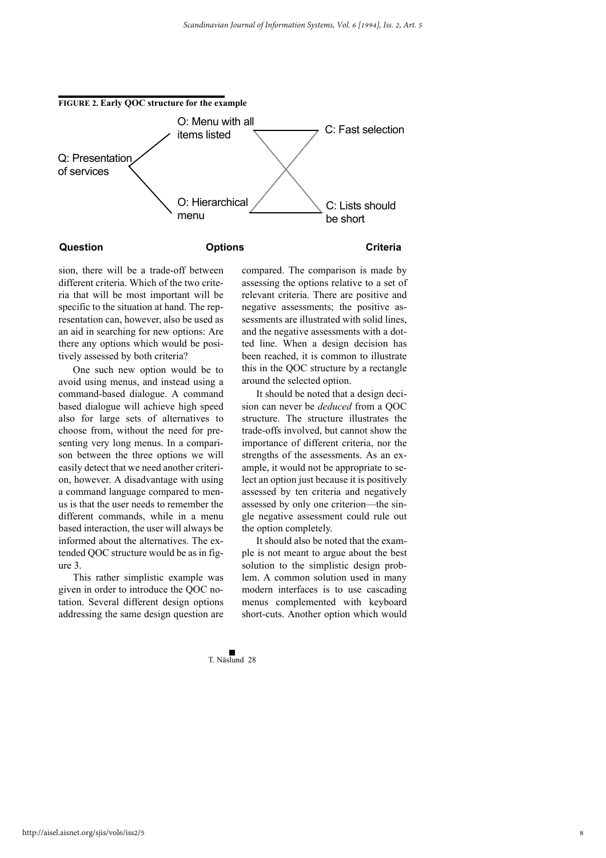

sion, there will be a trade-off between different criteria. Which of the two criteria that will be most important will be specific to the situation at hand. The representation can, however, also be used as an aid in searching for new options: Are there any options which would be positively assessed by both criteria?

One such new option would be to avoid using menus, and instead using a command-based dialogue. A command based dialogue will achieve high speed also for large sets of alternatives to choose from, without the need for presenting very long menus. In a comparison between the three options we will easily detect that we need another criterion, however. A disadvantage with using a command language compared to menus is that the user needs to remember the different commands, while in a menu based interaction, the user will always be informed about the alternatives. The extended QOC structure would be as in figure 3.

This rather simplistic example was given in order to introduce the QOC notation. Several different design options addressing the same design question are

compared. The comparison is made by assessing the options relative to a set of relevant criteria. There are positive and negative assessments; the positive assessments are illustrated with solid lines, and the negative assessments with a dotted line. When a design decision has been reached, it is common to illustrate this in the QOC structure by a rectangle around the selected option.

It should be noted that a design decision can never be *deduced* from a QOC structure. The structure illustrates the trade-offs involved, but cannot show the importance of different criteria, nor the strengths of the assessments. As an example, it would not be appropriate to select an option just because it is positively assessed by ten criteria and negatively assessed by only one criterion—the single negative assessment could rule out the option completely.

It should also be noted that the example is not meant to argue about the best solution to the simplistic design problem. A common solution used in many modern interfaces is to use cascading menus complemented with keyboard short-cuts. Another option which would

8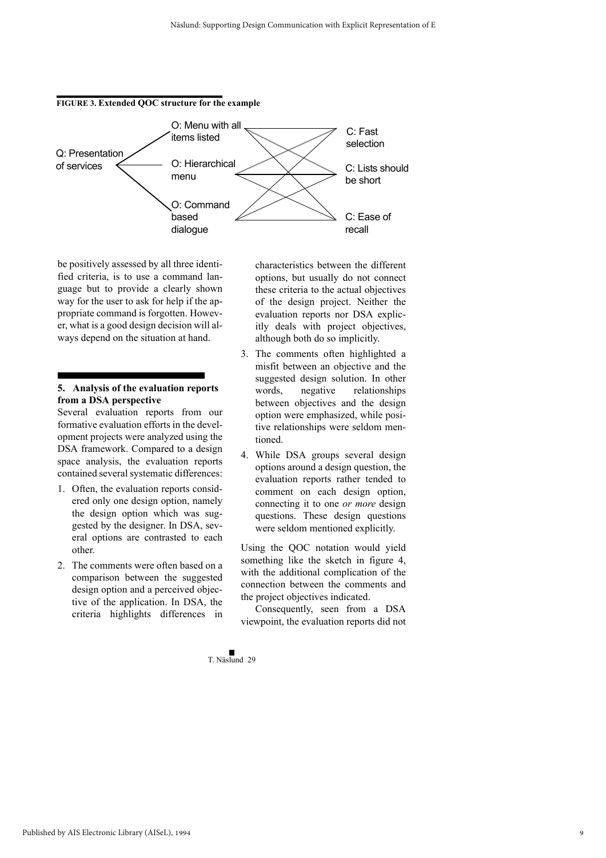#### **FIGURE 3. Extended QOC structure for the example**



be positively assessed by all three identified criteria, is to use a command language but to provide a clearly shown way for the user to ask for help if the appropriate command is forgotten. However, what is a good design decision will always depend on the situation at hand.

# **5. Analysis of the evaluation reports from a DSA perspective**

Several evaluation reports from our formative evaluation efforts in the development projects were analyzed using the DSA framework. Compared to a design space analysis, the evaluation reports contained several systematic differences:

- 1. Often, the evaluation reports considered only one design option, namely the design option which was suggested by the designer. In DSA, several options are contrasted to each other.
- 2. The comments were often based on a comparison between the suggested design option and a perceived objective of the application. In DSA, the criteria highlights differences in

characteristics between the different options, but usually do not connect these criteria to the actual objectives of the design project. Neither the evaluation reports nor DSA explicitly deals with project objectives, although both do so implicitly.

- 3. The comments often highlighted a misfit between an objective and the suggested design solution. In other words, negative relationships between objectives and the design option were emphasized, while positive relationships were seldom mentioned.
- 4. While DSA groups several design options around a design question, the evaluation reports rather tended to comment on each design option, connecting it to one *or more* design questions. These design questions were seldom mentioned explicitly.

Using the QOC notation would yield something like the sketch in figure 4, with the additional complication of the connection between the comments and the project objectives indicated.

Consequently, seen from a DSA viewpoint, the evaluation reports did not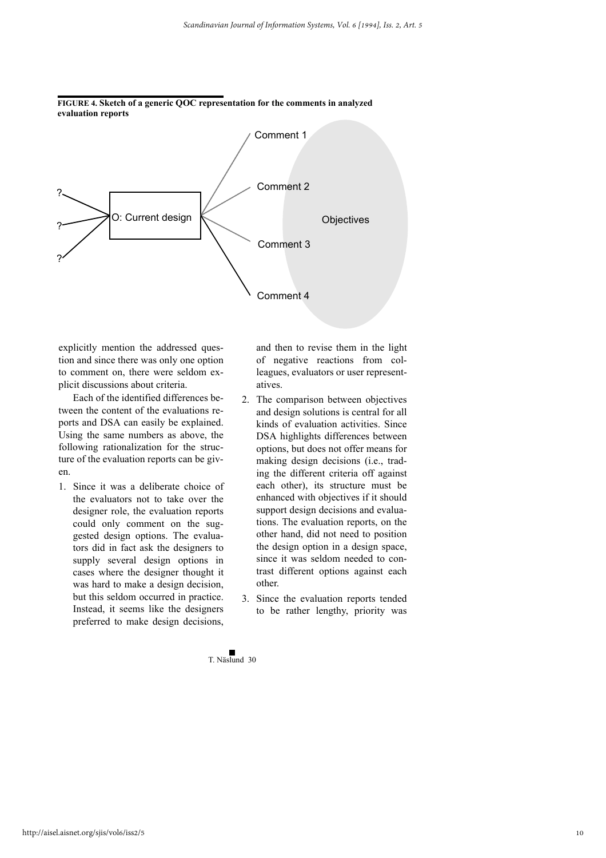

**FIGURE 4. Sketch of a generic QOC representation for the comments in analyzed evaluation reports**

explicitly mention the addressed question and since there was only one option to comment on, there were seldom explicit discussions about criteria.

Each of the identified differences between the content of the evaluations reports and DSA can easily be explained. Using the same numbers as above, the following rationalization for the structure of the evaluation reports can be given.

1. Since it was a deliberate choice of the evaluators not to take over the designer role, the evaluation reports could only comment on the suggested design options. The evaluators did in fact ask the designers to supply several design options in cases where the designer thought it was hard to make a design decision, but this seldom occurred in practice. Instead, it seems like the designers preferred to make design decisions,

and then to revise them in the light of negative reactions from colleagues, evaluators or user representatives.

- 2. The comparison between objectives and design solutions is central for all kinds of evaluation activities. Since DSA highlights differences between options, but does not offer means for making design decisions (i.e., trading the different criteria off against each other), its structure must be enhanced with objectives if it should support design decisions and evaluations. The evaluation reports, on the other hand, did not need to position the design option in a design space, since it was seldom needed to contrast different options against each other.
- 3. Since the evaluation reports tended to be rather lengthy, priority was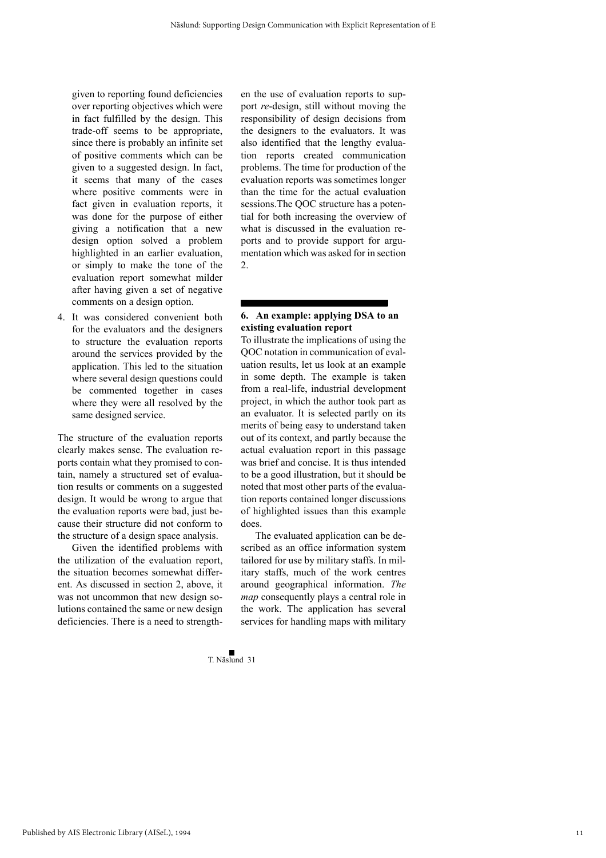given to reporting found deficiencies over reporting objectives which were in fact fulfilled by the design. This trade-off seems to be appropriate, since there is probably an infinite set of positive comments which can be given to a suggested design. In fact, it seems that many of the cases where positive comments were in fact given in evaluation reports, it was done for the purpose of either giving a notification that a new design option solved a problem highlighted in an earlier evaluation, or simply to make the tone of the evaluation report somewhat milder after having given a set of negative comments on a design option.

4. It was considered convenient both for the evaluators and the designers to structure the evaluation reports around the services provided by the application. This led to the situation where several design questions could be commented together in cases where they were all resolved by the same designed service.

The structure of the evaluation reports clearly makes sense. The evaluation reports contain what they promised to contain, namely a structured set of evaluation results or comments on a suggested design. It would be wrong to argue that the evaluation reports were bad, just because their structure did not conform to the structure of a design space analysis.

Given the identified problems with the utilization of the evaluation report, the situation becomes somewhat different. As discussed in section 2, above, it was not uncommon that new design solutions contained the same or new design deficiencies. There is a need to strengthen the use of evaluation reports to support *re*-design, still without moving the responsibility of design decisions from the designers to the evaluators. It was also identified that the lengthy evaluation reports created communication problems. The time for production of the evaluation reports was sometimes longer than the time for the actual evaluation sessions.The QOC structure has a potential for both increasing the overview of what is discussed in the evaluation reports and to provide support for argumentation which was asked for in section  $\mathcal{L}$ 

# **6. An example: applying DSA to an existing evaluation report**

To illustrate the implications of using the QOC notation in communication of evaluation results, let us look at an example in some depth. The example is taken from a real-life, industrial development project, in which the author took part as an evaluator. It is selected partly on its merits of being easy to understand taken out of its context, and partly because the actual evaluation report in this passage was brief and concise. It is thus intended to be a good illustration, but it should be noted that most other parts of the evaluation reports contained longer discussions of highlighted issues than this example does.

The evaluated application can be described as an office information system tailored for use by military staffs. In military staffs, much of the work centres around geographical information. *The map* consequently plays a central role in the work. The application has several services for handling maps with military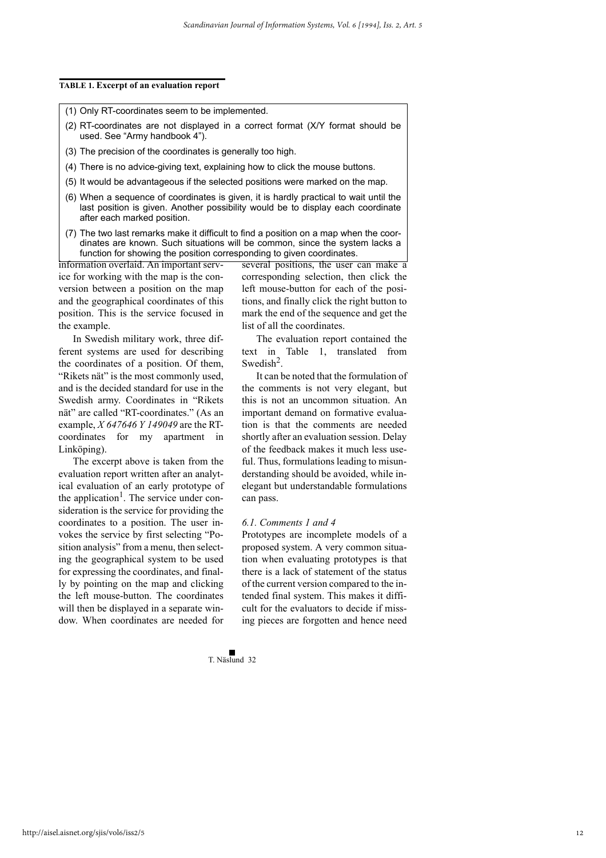#### **TABLE 1. Excerpt of an evaluation report**

(1) Only RT-coordinates seem to be implemented.

- (2) RT-coordinates are not displayed in a correct format (X/Y format should be used. See "Army handbook 4").
- (3) The precision of the coordinates is generally too high.
- (4) There is no advice-giving text, explaining how to click the mouse buttons.
- (5) It would be advantageous if the selected positions were marked on the map.
- (6) When a sequence of coordinates is given, it is hardly practical to wait until the last position is given. Another possibility would be to display each coordinate after each marked position.
- (7) The two last remarks make it difficult to find a position on a map when the coordinates are known. Such situations will be common, since the system lacks a function for showing the position corresponding to given coordinates.

information overlaid. An important service for working with the map is the conversion between a position on the map and the geographical coordinates of this position. This is the service focused in the example.

In Swedish military work, three different systems are used for describing the coordinates of a position. Of them, "Rikets nät" is the most commonly used, and is the decided standard for use in the Swedish army. Coordinates in "Rikets nät" are called "RT-coordinates." (As an example, *X 647646 Y 149049* are the RTcoordinates for my apartment in Linköping).

The excerpt above is taken from the evaluation report written after an analytical evaluation of an early prototype of the application<sup>1</sup>. The service under consideration is the service for providing the coordinates to a position. The user invokes the service by first selecting "Position analysis" from a menu, then selecting the geographical system to be used for expressing the coordinates, and finally by pointing on the map and clicking the left mouse-button. The coordinates will then be displayed in a separate window. When coordinates are needed for several positions, the user can make a corresponding selection, then click the left mouse-button for each of the positions, and finally click the right button to mark the end of the sequence and get the list of all the coordinates.

The evaluation report contained the text in Table 1, translated from Swedish<sup>2</sup>.

It can be noted that the formulation of the comments is not very elegant, but this is not an uncommon situation. An important demand on formative evaluation is that the comments are needed shortly after an evaluation session. Delay of the feedback makes it much less useful. Thus, formulations leading to misunderstanding should be avoided, while inelegant but understandable formulations can pass.

#### *6.1. Comments 1 and 4*

Prototypes are incomplete models of a proposed system. A very common situation when evaluating prototypes is that there is a lack of statement of the status of the current version compared to the intended final system. This makes it difficult for the evaluators to decide if missing pieces are forgotten and hence need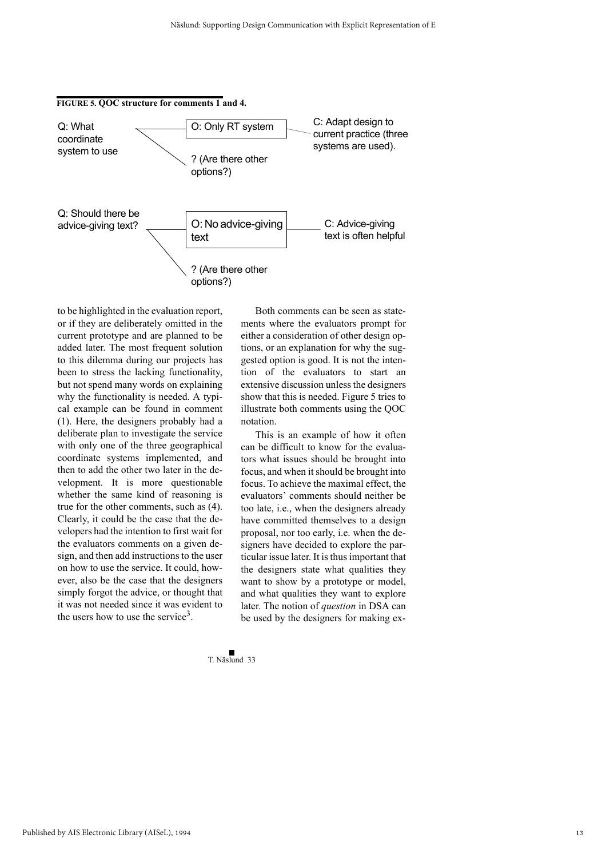

to be highlighted in the evaluation report, or if they are deliberately omitted in the current prototype and are planned to be added later. The most frequent solution to this dilemma during our projects has been to stress the lacking functionality, but not spend many words on explaining why the functionality is needed. A typical example can be found in comment (1). Here, the designers probably had a deliberate plan to investigate the service with only one of the three geographical coordinate systems implemented, and then to add the other two later in the development. It is more questionable whether the same kind of reasoning is true for the other comments, such as (4). Clearly, it could be the case that the developers had the intention to first wait for the evaluators comments on a given design, and then add instructions to the user on how to use the service. It could, however, also be the case that the designers simply forgot the advice, or thought that it was not needed since it was evident to the users how to use the service<sup>3</sup>.

Both comments can be seen as statements where the evaluators prompt for either a consideration of other design options, or an explanation for why the suggested option is good. It is not the intention of the evaluators to start an extensive discussion unless the designers show that this is needed. Figure 5 tries to illustrate both comments using the QOC notation.

This is an example of how it often can be difficult to know for the evaluators what issues should be brought into focus, and when it should be brought into focus. To achieve the maximal effect, the evaluators' comments should neither be too late, i.e., when the designers already have committed themselves to a design proposal, nor too early, i.e. when the designers have decided to explore the particular issue later. It is thus important that the designers state what qualities they want to show by a prototype or model, and what qualities they want to explore later. The notion of *question* in DSA can be used by the designers for making ex-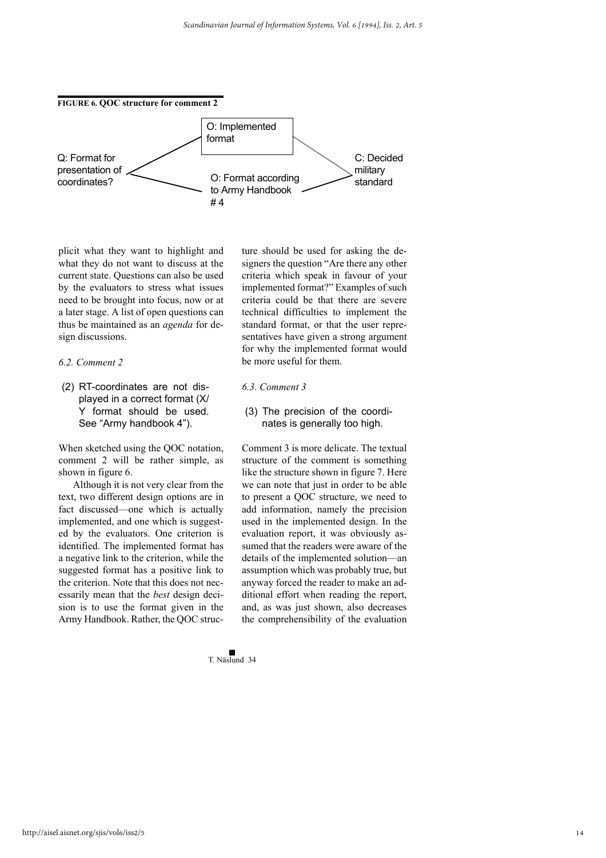

plicit what they want to highlight and what they do not want to discuss at the current state. Questions can also be used by the evaluators to stress what issues need to be brought into focus, now or at a later stage. A list of open questions can thus be maintained as an *agenda* for design discussions.

# *6.2. Comment 2*

(2) RT-coordinates are not displayed in a correct format (X/ Y format should be used. See "Army handbook 4").

When sketched using the QOC notation, comment 2 will be rather simple, as shown in figure 6.

Although it is not very clear from the text, two different design options are in fact discussed—one which is actually implemented, and one which is suggested by the evaluators. One criterion is identified. The implemented format has a negative link to the criterion, while the suggested format has a positive link to the criterion. Note that this does not necessarily mean that the *best* design decision is to use the format given in the Army Handbook. Rather, the QOC structure should be used for asking the designers the question "Are there any other criteria which speak in favour of your implemented format?" Examples of such criteria could be that there are severe technical difficulties to implement the standard format, or that the user representatives have given a strong argument for why the implemented format would be more useful for them.

# *6.3. Comment 3*

(3) The precision of the coordinates is generally too high.

Comment 3 is more delicate. The textual structure of the comment is something like the structure shown in figure 7. Here we can note that just in order to be able to present a QOC structure, we need to add information, namely the precision used in the implemented design. In the evaluation report, it was obviously assumed that the readers were aware of the details of the implemented solution—an assumption which was probably true, but anyway forced the reader to make an additional effort when reading the report, and, as was just shown, also decreases the comprehensibility of the evaluation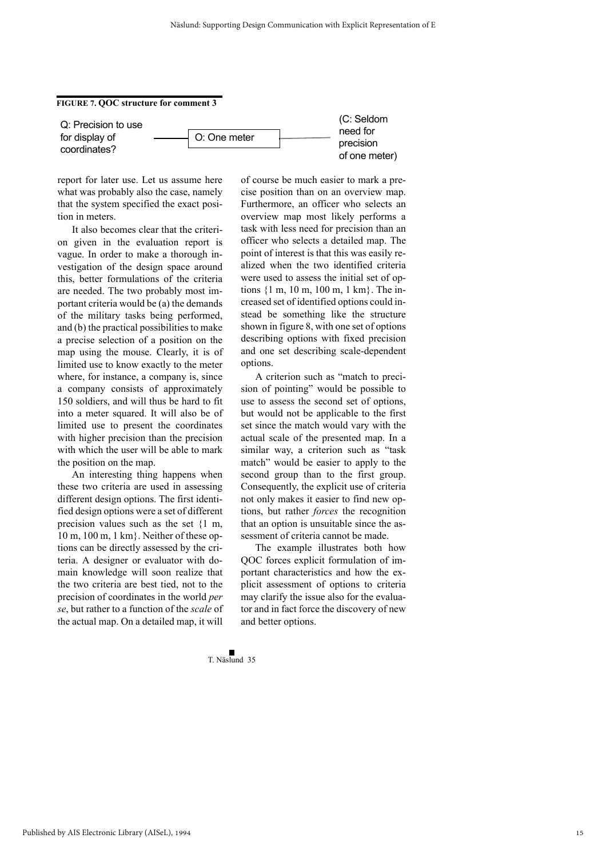#### **FIGURE 7. QOC structure for comment 3**

Q: Precision to use for display of coordinates?



(C: Seldom need for precision of one meter)

report for later use. Let us assume here what was probably also the case, namely that the system specified the exact position in meters.

It also becomes clear that the criterion given in the evaluation report is vague. In order to make a thorough investigation of the design space around this, better formulations of the criteria are needed. The two probably most important criteria would be (a) the demands of the military tasks being performed, and (b) the practical possibilities to make a precise selection of a position on the map using the mouse. Clearly, it is of limited use to know exactly to the meter where, for instance, a company is, since a company consists of approximately 150 soldiers, and will thus be hard to fit into a meter squared. It will also be of limited use to present the coordinates with higher precision than the precision with which the user will be able to mark the position on the map.

An interesting thing happens when these two criteria are used in assessing different design options. The first identified design options were a set of different precision values such as the set {1 m, 10 m, 100 m, 1 km}. Neither of these options can be directly assessed by the criteria. A designer or evaluator with domain knowledge will soon realize that the two criteria are best tied, not to the precision of coordinates in the world *per se*, but rather to a function of the *scale* of the actual map. On a detailed map, it will

of course be much easier to mark a precise position than on an overview map. Furthermore, an officer who selects an overview map most likely performs a task with less need for precision than an officer who selects a detailed map. The point of interest is that this was easily realized when the two identified criteria were used to assess the initial set of options {1 m, 10 m, 100 m, 1 km}. The increased set of identified options could instead be something like the structure shown in figure 8, with one set of options describing options with fixed precision and one set describing scale-dependent options.

A criterion such as "match to precision of pointing" would be possible to use to assess the second set of options, but would not be applicable to the first set since the match would vary with the actual scale of the presented map. In a similar way, a criterion such as "task match" would be easier to apply to the second group than to the first group. Consequently, the explicit use of criteria not only makes it easier to find new options, but rather *forces* the recognition that an option is unsuitable since the assessment of criteria cannot be made.

The example illustrates both how QOC forces explicit formulation of important characteristics and how the explicit assessment of options to criteria may clarify the issue also for the evaluator and in fact force the discovery of new and better options.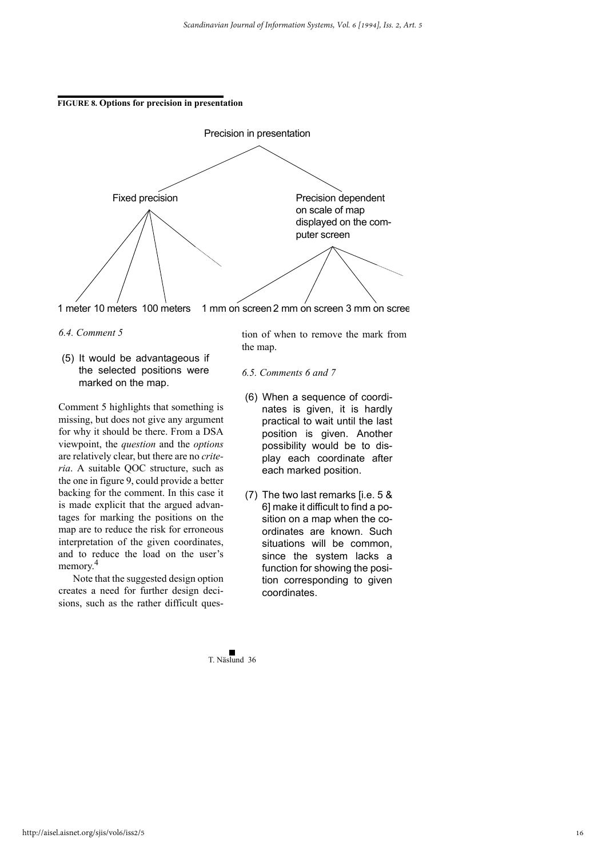



1 meter 10 meters 100 meters 1 mm on screen2 mm on screen 3 mm on scree

- *6.4. Comment 5*
- (5) It would be advantageous if the selected positions were marked on the map.

Comment 5 highlights that something is missing, but does not give any argument for why it should be there. From a DSA viewpoint, the *question* and the *options* are relatively clear, but there are no *criteria*. A suitable QOC structure, such as the one in figure 9, could provide a better backing for the comment. In this case it is made explicit that the argued advantages for marking the positions on the map are to reduce the risk for erroneous interpretation of the given coordinates, and to reduce the load on the user's memory.<sup>4</sup>

Note that the suggested design option creates a need for further design decisions, such as the rather difficult question of when to remove the mark from the map.

- *6.5. Comments 6 and 7*
- (6) When a sequence of coordinates is given, it is hardly practical to wait until the last position is given. Another possibility would be to display each coordinate after each marked position.
- (7) The two last remarks [i.e. 5 & 6] make it difficult to find a position on a map when the coordinates are known. Such situations will be common. since the system lacks a function for showing the position corresponding to given coordinates.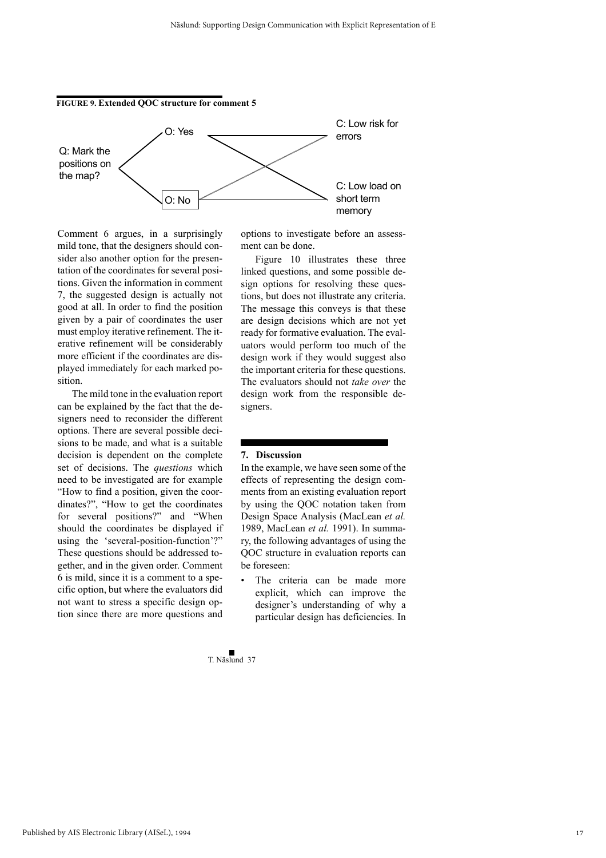

Comment 6 argues, in a surprisingly mild tone, that the designers should consider also another option for the presentation of the coordinates for several positions. Given the information in comment 7, the suggested design is actually not good at all. In order to find the position given by a pair of coordinates the user must employ iterative refinement. The iterative refinement will be considerably more efficient if the coordinates are displayed immediately for each marked position.

The mild tone in the evaluation report can be explained by the fact that the designers need to reconsider the different options. There are several possible decisions to be made, and what is a suitable decision is dependent on the complete set of decisions. The *questions* which need to be investigated are for example "How to find a position, given the coordinates?", "How to get the coordinates for several positions?" and "When should the coordinates be displayed if using the 'several-position-function'?" These questions should be addressed together, and in the given order. Comment 6 is mild, since it is a comment to a specific option, but where the evaluators did not want to stress a specific design option since there are more questions and

options to investigate before an assessment can be done.

Figure 10 illustrates these three linked questions, and some possible design options for resolving these questions, but does not illustrate any criteria. The message this conveys is that these are design decisions which are not yet ready for formative evaluation. The evaluators would perform too much of the design work if they would suggest also the important criteria for these questions. The evaluators should not *take over* the design work from the responsible designers.

# **7. Discussion**

In the example, we have seen some of the effects of representing the design comments from an existing evaluation report by using the QOC notation taken from Design Space Analysis (MacLean *et al.* 1989, MacLean *et al.* 1991). In summary, the following advantages of using the QOC structure in evaluation reports can be foreseen:

The criteria can be made more explicit, which can improve the designer's understanding of why a particular design has deficiencies. In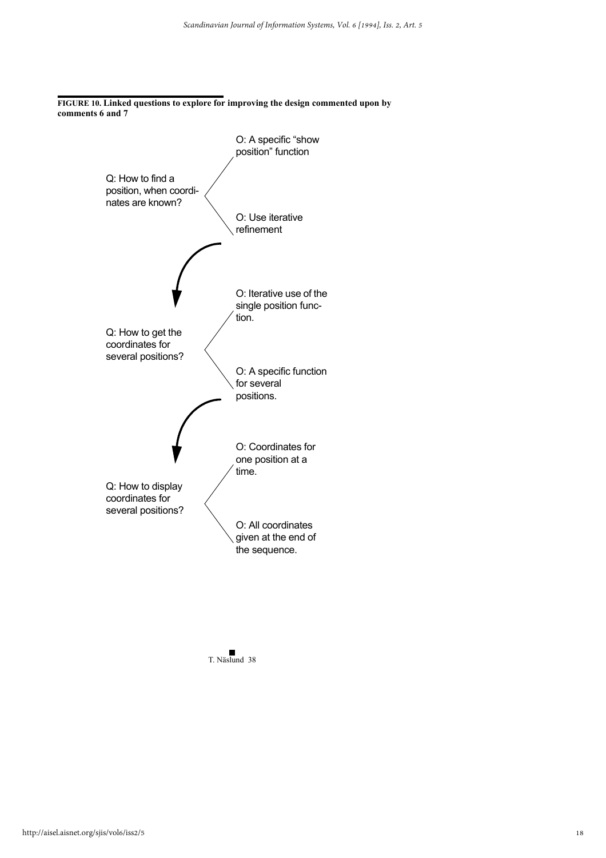**FIGURE 10. Linked questions to explore for improving the design commented upon by comments 6 and 7**



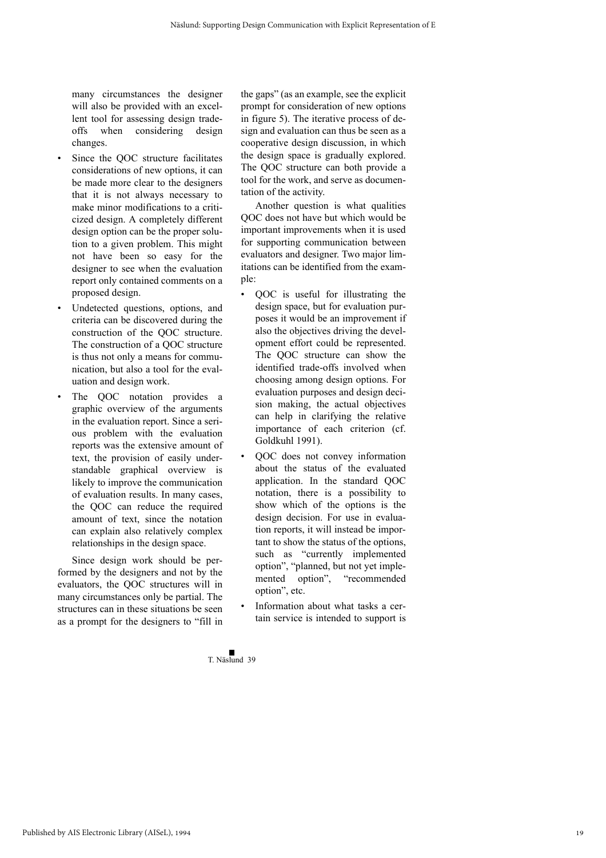many circumstances the designer will also be provided with an excellent tool for assessing design tradeoffs when considering design changes.

- Since the QOC structure facilitates considerations of new options, it can be made more clear to the designers that it is not always necessary to make minor modifications to a criticized design. A completely different design option can be the proper solution to a given problem. This might not have been so easy for the designer to see when the evaluation report only contained comments on a proposed design.
- Undetected questions, options, and criteria can be discovered during the construction of the QOC structure. The construction of a QOC structure is thus not only a means for communication, but also a tool for the evaluation and design work.
- The QOC notation provides a graphic overview of the arguments in the evaluation report. Since a serious problem with the evaluation reports was the extensive amount of text, the provision of easily understandable graphical overview is likely to improve the communication of evaluation results. In many cases, the QOC can reduce the required amount of text, since the notation can explain also relatively complex relationships in the design space.

Since design work should be performed by the designers and not by the evaluators, the QOC structures will in many circumstances only be partial. The structures can in these situations be seen as a prompt for the designers to "fill in the gaps" (as an example, see the explicit prompt for consideration of new options in figure 5). The iterative process of design and evaluation can thus be seen as a cooperative design discussion, in which the design space is gradually explored. The QOC structure can both provide a tool for the work, and serve as documentation of the activity.

Another question is what qualities QOC does not have but which would be important improvements when it is used for supporting communication between evaluators and designer. Two major limitations can be identified from the example:

- QOC is useful for illustrating the design space, but for evaluation purposes it would be an improvement if also the objectives driving the development effort could be represented. The QOC structure can show the identified trade-offs involved when choosing among design options. For evaluation purposes and design decision making, the actual objectives can help in clarifying the relative importance of each criterion (cf. Goldkuhl 1991).
- QOC does not convey information about the status of the evaluated application. In the standard QOC notation, there is a possibility to show which of the options is the design decision. For use in evaluation reports, it will instead be important to show the status of the options, such as "currently implemented option", "planned, but not yet implemented option", "recommended option", etc.
- Information about what tasks a certain service is intended to support is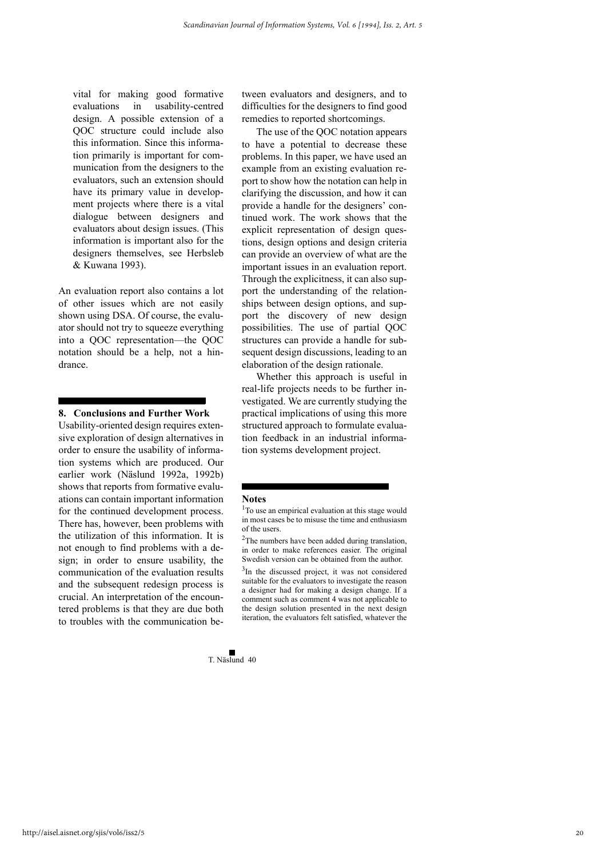vital for making good formative evaluations in usability-centred design. A possible extension of a QOC structure could include also this information. Since this information primarily is important for communication from the designers to the evaluators, such an extension should have its primary value in development projects where there is a vital dialogue between designers and evaluators about design issues. (This information is important also for the designers themselves, see Herbsleb & Kuwana 1993).

An evaluation report also contains a lot of other issues which are not easily shown using DSA. Of course, the evaluator should not try to squeeze everything into a QOC representation—the QOC notation should be a help, not a hindrance.

#### **8. Conclusions and Further Work**

Usability-oriented design requires extensive exploration of design alternatives in order to ensure the usability of information systems which are produced. Our earlier work (Näslund 1992a, 1992b) shows that reports from formative evaluations can contain important information for the continued development process. There has, however, been problems with the utilization of this information. It is not enough to find problems with a design; in order to ensure usability, the communication of the evaluation results and the subsequent redesign process is crucial. An interpretation of the encountered problems is that they are due both to troubles with the communication between evaluators and designers, and to difficulties for the designers to find good remedies to reported shortcomings.

The use of the OOC notation appears to have a potential to decrease these problems. In this paper, we have used an example from an existing evaluation report to show how the notation can help in clarifying the discussion, and how it can provide a handle for the designers' continued work. The work shows that the explicit representation of design questions, design options and design criteria can provide an overview of what are the important issues in an evaluation report. Through the explicitness, it can also support the understanding of the relationships between design options, and support the discovery of new design possibilities. The use of partial QOC structures can provide a handle for subsequent design discussions, leading to an elaboration of the design rationale.

Whether this approach is useful in real-life projects needs to be further investigated. We are currently studying the practical implications of using this more structured approach to formulate evaluation feedback in an industrial information systems development project.

#### **Notes**

<sup>3</sup>In the discussed project, it was not considered suitable for the evaluators to investigate the reason a designer had for making a design change. If a comment such as comment 4 was not applicable to the design solution presented in the next design iteration, the evaluators felt satisfied, whatever the

<sup>&</sup>lt;sup>1</sup>To use an empirical evaluation at this stage would in most cases be to misuse the time and enthusiasm of the users.

<sup>&</sup>lt;sup>2</sup>The numbers have been added during translation, in order to make references easier. The original Swedish version can be obtained from the author.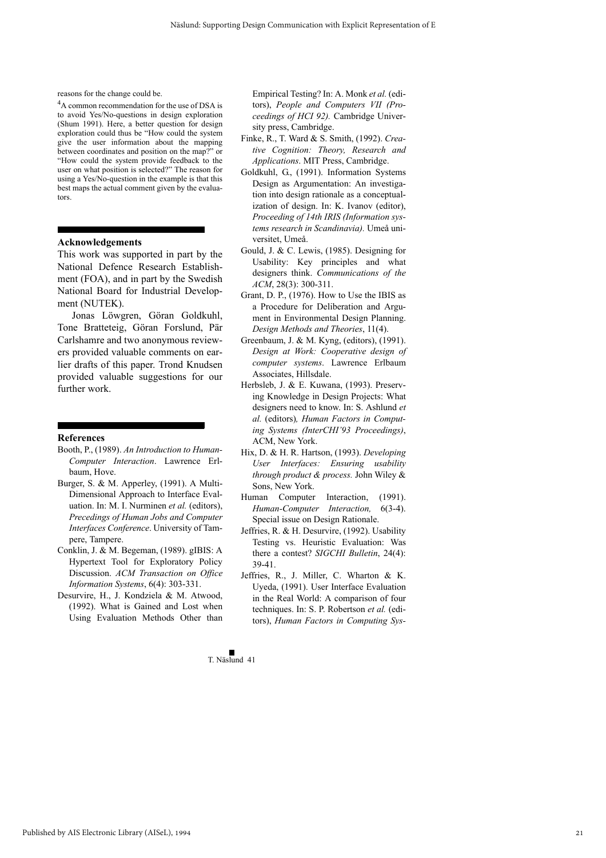reasons for the change could be.

<sup>4</sup>A common recommendation for the use of DSA is to avoid Yes/No-questions in design exploration (Shum 1991). Here, a better question for design exploration could thus be "How could the system give the user information about the mapping between coordinates and position on the map?" or "How could the system provide feedback to the user on what position is selected?" The reason for using a Yes/No-question in the example is that this best maps the actual comment given by the evaluators.

#### **Acknowledgements**

This work was supported in part by the National Defence Research Establishment (FOA), and in part by the Swedish National Board for Industrial Development (NUTEK).

Jonas Löwgren, Göran Goldkuhl, Tone Bratteteig, Göran Forslund, Pär Carlshamre and two anonymous reviewers provided valuable comments on earlier drafts of this paper. Trond Knudsen provided valuable suggestions for our further work.

#### **References**

- Booth, P., (1989). *An Introduction to Human-Computer Interaction*. Lawrence Erlbaum, Hove.
- Burger, S. & M. Apperley, (1991). A Multi-Dimensional Approach to Interface Evaluation. In: M. I. Nurminen *et al.* (editors), *Precedings of Human Jobs and Computer Interfaces Conference*. University of Tampere, Tampere.
- Conklin, J. & M. Begeman, (1989). gIBIS: A Hypertext Tool for Exploratory Policy Discussion. *ACM Transaction on Office Information Systems*, 6(4): 303-331.
- Desurvire, H., J. Kondziela & M. Atwood, (1992). What is Gained and Lost when Using Evaluation Methods Other than

Empirical Testing? In: A. Monk *et al.* (editors), *People and Computers VII (Proceedings of HCI 92).* Cambridge University press, Cambridge.

- Finke, R., T. Ward & S. Smith, (1992). *Creative Cognition: Theory, Research and Applications*. MIT Press, Cambridge.
- Goldkuhl, G., (1991). Information Systems Design as Argumentation: An investigation into design rationale as a conceptualization of design. In: K. Ivanov (editor), *Proceeding of 14th IRIS (Information systems research in Scandinavia).* Umeå universitet, Umeå.
- Gould, J. & C. Lewis, (1985). Designing for Usability: Key principles and what designers think. *Communications of the ACM*, 28(3): 300-311.
- Grant, D. P., (1976). How to Use the IBIS as a Procedure for Deliberation and Argument in Environmental Design Planning. *Design Methods and Theories*, 11(4).
- Greenbaum, J. & M. Kyng, (editors), (1991). *Design at Work: Cooperative design of computer systems*. Lawrence Erlbaum Associates, Hillsdale.
- Herbsleb, J. & E. Kuwana, (1993). Preserving Knowledge in Design Projects: What designers need to know. In: S. Ashlund *et al.* (editors)*, Human Factors in Computing Systems (InterCHI'93 Proceedings)*, ACM, New York.
- Hix, D. & H. R. Hartson, (1993). *Developing User Interfaces: Ensuring usability through product & process.* John Wiley & Sons, New York.
- Human Computer Interaction, (1991). *Human-Computer Interaction,* 6(3-4). Special issue on Design Rationale.
- Jeffries, R. & H. Desurvire, (1992). Usability Testing vs. Heuristic Evaluation: Was there a contest? *SIGCHI Bulletin*, 24(4): 39-41.
- Jeffries, R., J. Miller, C. Wharton & K. Uyeda, (1991). User Interface Evaluation in the Real World: A comparison of four techniques. In: S. P. Robertson *et al.* (editors), *Human Factors in Computing Sys-*